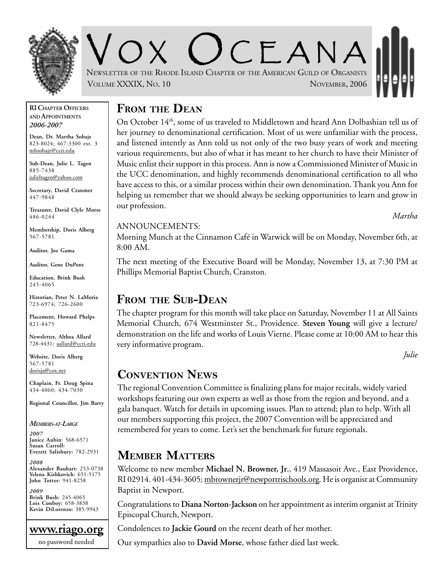

OX UCEANA NEWSLETTER OF THE RHODE ISLAND CHAPTER OF THE AMERICAN GUILD OF ORGANISTS VOLUME XXXIX, NO. 10 NOVEMBER, 2006

#### **RI CHAPTER OFFICERS AND APPOINTMENTS** *2006-2007*

**Dean, Dr. Martha Sobaje** 823-8024; 467-3300 ext. 3 mhsobaje@ccri.edu

**Sub-Dean, Julie L. Tagen** 885-7438 julieltagen@yahoo.com

**Secretary, David Cranmer** 447-9848

**Treasurer, David Clyle Morse** 486-0244

**Membership, Doris Alberg** 567-5781

**Auditor, Joe Gama**

**Auditor, Gene DuPont**

**Education, Brink Bush** 245-4065

**Historian, Peter N. LaMoria** 723-6974; 726-2600

**Placement, Howard Phelps** 821-8475

**Newsletter, Althea Allard** 728-4431; aallard@ccri.edu

**Website**, **Doris Alberg** 567-5781 dorisja@cox.net

**Chaplain, Fr. Doug Spina** 434-4060; 434-7030

**Regional Councillor, Jim Barry**

#### *MEMBERS-AT-LARGE*

*2007* **Janice Aubin**: 568-6571 **Susan Carroll: Everett Salisbury:** 782-2931

*2008* **Alexander Bauhart:** 253-0738 **Yelena Kishkovich:** 651-5175 **John Totter:** 941-8258

*2009* **Brink Bush:** 245-4065 **Lois Conboy:** 658-3838 **Kevin DiLorenzo:** 385-9943



## **FROM THE DEAN**

On October 14th, some of us traveled to Middletown and heard Ann Dolbashian tell us of her journey to denominational certification. Most of us were unfamiliar with the process, and listened intently as Ann told us not only of the two busy years of work and meeting various requirements, but also of what it has meant to her church to have their Minister of Music enlist their support in this process. Ann is now a Commissioned Minister of Music in the UCC denomination, and highly recommends denominational certification to all who have access to this, or a similar process within their own denomination. Thank you Ann for helping us remember that we should always be seeking opportunities to learn and grow in our profession.

*Martha*

#### ANNOUNCEMENTS:

Morning Munch at the Cinnamon Café in Warwick will be on Monday, November 6th, at 8:00 AM.

The next meeting of the Executive Board will be Monday, November 13, at 7:30 PM at Phillips Memorial Baptist Church, Cranston.

## **FROM THE SUB-DEAN**

The chapter program for this month will take place on Saturday, November 11 at All Saints Memorial Church, 674 Westminster St., Providence. **Steven Young** will give a lecture/ demonstration on the life and works of Louis Vierne. Please come at 10:00 AM to hear this very informative program.

*Julie*

## **CONVENTION NEWS**

The regional Convention Committee is finalizing plans for major recitals, widely varied workshops featuring our own experts as well as those from the region and beyond, and a gala banquet. Watch for details in upcoming issues. Plan to attend; plan to help. With all our members supporting this project, the 2007 Convention will be appreciated and remembered for years to come. Let's set the benchmark for future regionals.

# **MEMBER MATTERS**

Welcome to new member **Michael N. Browner, Jr**., 419 Massasoit Ave., East Providence, RI 02914. 401-434-3605; mbrownerjr@newportrischools.org. He is organist at Community Baptist in Newport.

Congratulations to **Diana Norton-Jackson** on her appointment as interim organist at Trinity Episcopal Church, Newport.

Condolences to **Jackie Gourd** on the recent death of her mother.

Our sympathies also to **David Morse**, whose father died last week.